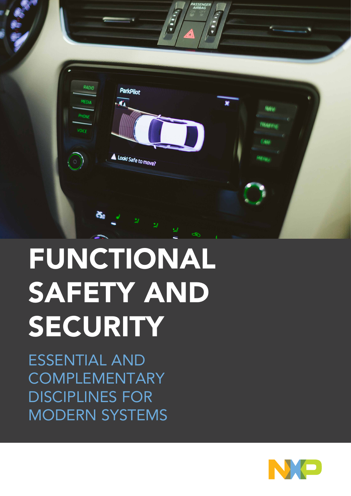

# FUNCTIONAL SAFETY AND SECURITY

ESSENTIAL AND COMPLEMENTARY DISCIPLINES FOR MODERN SYSTEMS

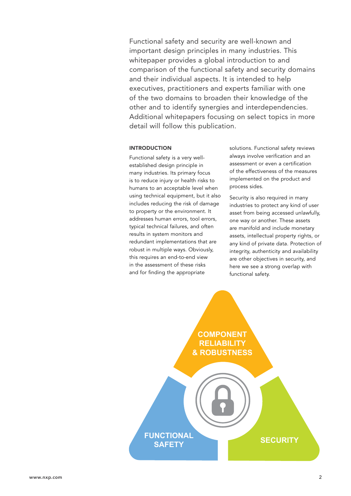Functional safety and security are well-known and important design principles in many industries. This whitepaper provides a global introduction to and comparison of the functional safety and security domains and their individual aspects. It is intended to help executives, practitioners and experts familiar with one of the two domains to broaden their knowledge of the other and to identify synergies and interdependencies. Additional whitepapers focusing on select topics in more detail will follow this publication.

### INTRODUCTION

Functional safety is a very wellestablished design principle in many industries. Its primary focus is to reduce injury or health risks to humans to an acceptable level when using technical equipment, but it also includes reducing the risk of damage to property or the environment. It addresses human errors, tool errors, typical technical failures, and often results in system monitors and redundant implementations that are robust in multiple ways. Obviously, this requires an end-to-end view in the assessment of these risks and for finding the appropriate

solutions. Functional safety reviews always involve verification and an assessment or even a certification of the effectiveness of the measures implemented on the product and process sides.

Security is also required in many industries to protect any kind of user asset from being accessed unlawfully, one way or another. These assets are manifold and include monetary assets, intellectual property rights, or any kind of private data. Protection of integrity, authenticity and availability are other objectives in security, and here we see a strong overlap with functional safety.

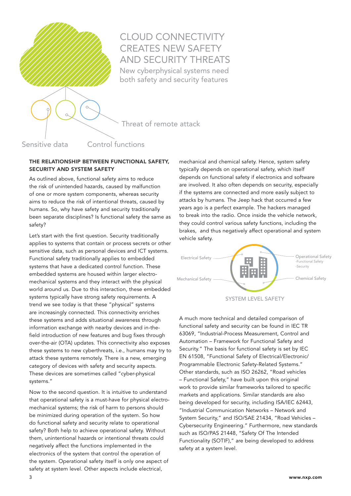

# CLOUD CONNECTIVITY CREATES NEW SAFETY AND SECURITY THREATS New cyberphysical systems need both safety and security features

Threat of remote attack

Sensitive data Control functions

## THE RELATIONSHIP BETWEEN FUNCTIONAL SAFETY, SECURITY AND SYSTEM SAFETY

As outlined above, functional safety aims to reduce the risk of unintended hazards, caused by malfunction of one or more system components, whereas security aims to reduce the risk of intentional threats, caused by humans. So, why have safety and security traditionally been separate disciplines? Is functional safety the same as safety?

Let's start with the first question. Security traditionally applies to systems that contain or process secrets or other sensitive data, such as personal devices and ICT systems. Functional safety traditionally applies to embedded systems that have a dedicated control function. These embedded systems are housed within larger electromechanical systems and they interact with the physical world around us. Due to this interaction, these embedded systems typically have strong safety requirements. A trend we see today is that these "physical" systems are increasingly connected. This connectivity enriches these systems and adds situational awareness through information exchange with nearby devices and in-thefield introduction of new features and bug fixes through over-the-air (OTA) updates. This connectivity also exposes these systems to new cyberthreats, i.e., humans may try to attack these systems remotely. There is a new, emerging category of devices with safety and security aspects. These devices are sometimes called "cyber-physical systems."

Now to the second question. It is intuitive to understand that operational safety is a must-have for physical electromechanical systems; the risk of harm to persons should be minimized during operation of the system. So how do functional safety and security relate to operational safety? Both help to achieve operational safety. Without them, unintentional hazards or intentional threats could negatively affect the functions implemented in the electronics of the system that control the operation of the system. Operational safety itself is only one aspect of safety at system level. Other aspects include electrical,

mechanical and chemical safety. Hence, system safety typically depends on operational safety, which itself depends on functional safety if electronics and software are involved. It also often depends on security, especially if the systems are connected and more easily subject to attacks by humans. The Jeep hack that occurred a few years ago is a perfect example. The hackers managed to break into the radio. Once inside the vehicle network, they could control various safety functions, including the brakes, and thus negatively affect operational and system vehicle safety.



SYSTEM LEVEL SAFETY

A much more technical and detailed comparison of functional safety and security can be found in IEC TR 63069, "Industrial-Process Measurement, Control and Automation – Framework for Functional Safety and Security." The basis for functional safety is set by IEC EN 61508, "Functional Safety of Electrical/Electronic/ Programmable Electronic Safety-Related Systems." Other standards, such as ISO 26262, "Road vehicles – Functional Safety," have built upon this original work to provide similar frameworks tailored to specific markets and applications. Similar standards are also being developed for security, including ISA/IEC 62443, "Industrial Communication Networks – Network and System Security," and ISO/SAE 21434, "Road Vehicles – Cybersecurity Engineering." Furthermore, new standards such as ISO/PAS 21448, "Safety Of The Intended Functionality (SOTIF)," are being developed to address safety at a system level.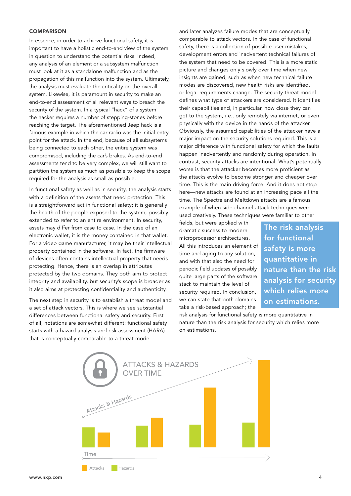#### **COMPARISON**

In essence, in order to achieve functional safety, it is important to have a holistic end-to-end view of the system in question to understand the potential risks. Indeed, any analysis of an element or a subsystem malfunction must look at it as a standalone malfunction and as the propagation of this malfunction into the system. Ultimately, the analysis must evaluate the criticality on the overall system. Likewise, it is paramount in security to make an end-to-end assessment of all relevant ways to breach the security of the system. In a typical "hack" of a system the hacker requires a number of stepping-stones before reaching the target. The aforementioned Jeep hack is a famous example in which the car radio was the initial entry point for the attack. In the end, because of all subsystems being connected to each other, the entire system was compromised, including the car's brakes. As end-to-end assessments tend to be very complex, we will still want to partition the system as much as possible to keep the scope required for the analysis as small as possible.

In functional safety as well as in security, the analysis starts with a definition of the assets that need protection. This is a straightforward act in functional safety; it is generally the health of the people exposed to the system, possibly extended to refer to an entire environment. In security, assets may differ from case to case. In the case of an electronic wallet, it is the money contained in that wallet. For a video game manufacturer, it may be their intellectual property contained in the software. In fact, the firmware of devices often contains intellectual property that needs protecting. Hence, there is an overlap in attributes protected by the two domains. They both aim to protect integrity and availability, but security's scope is broader as it also aims at protecting confidentiality and authenticity.

The next step in security is to establish a threat model and a set of attack vectors. This is where we see substantial differences between functional safety and security. First of all, notations are somewhat different: functional safety starts with a hazard analysis and risk assessment (HARA) that is conceptually comparable to a threat model

and later analyzes failure modes that are conceptually comparable to attack vectors. In the case of functional safety, there is a collection of possible user mistakes, development errors and inadvertent technical failures of the system that need to be covered. This is a more static picture and changes only slowly over time when new insights are gained, such as when new technical failure modes are discovered, new health risks are identified, or legal requirements change. The security threat model defines what type of attackers are considered. It identifies their capabilities and, in particular, how close they can get to the system, i.e., only remotely via internet, or even physically with the device in the hands of the attacker. Obviously, the assumed capabilities of the attacker have a major impact on the security solutions required. This is a major difference with functional safety for which the faults happen inadvertently and randomly during operation. In contrast, security attacks are intentional. What's potentially worse is that the attacker becomes more proficient as the attacks evolve to become stronger and cheaper over time. This is the main driving force. And it does not stop here—new attacks are found at an increasing pace all the time. The Spectre and Meltdown attacks are a famous example of when side-channel attack techniques were used creatively. These techniques were familiar to other

fields, but were applied with dramatic success to modern microprocessor architectures. All this introduces an element of time and aging to any solution, and with that also the need for periodic field updates of possibly quite large parts of the software stack to maintain the level of security required. In conclusion, we can state that both domains take a risk-based approach; the

The risk analysis for functional safety is more quantitative in nature than the risk analysis for security which relies more on estimations.

risk analysis for functional safety is more quantitative in nature than the risk analysis for security which relies more on estimations.

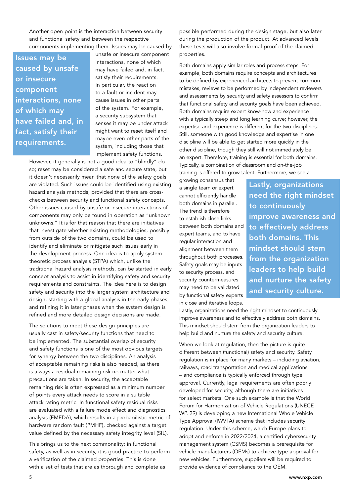Another open point is the interaction between security and functional safety and between the respective components implementing them. Issues may be caused by

Issues may be caused by unsafe or insecure component interactions, none of which may have failed and, in fact, satisfy their requirements.

unsafe or insecure component interactions, none of which may have failed and, in fact, satisfy their requirements. In particular, the reaction to a fault or incident may cause issues in other parts of the system. For example, a security subsystem that senses it may be under attack might want to reset itself and maybe even other parts of the system, including those that implement safety functions.

However, it generally is not a good idea to "blindly" do so; reset may be considered a safe and secure state, but it doesn't necessarily mean that none of the safety goals are violated. Such issues could be identified using existing hazard analysis methods, provided that there are crosschecks between security and functional safety concepts. Other issues caused by unsafe or insecure interactions of components may only be found in operation as "unknown unknowns." It is for that reason that there are initiatives that investigate whether existing methodologies, possibly from outside of the two domains, could be used to identify and eliminate or mitigate such issues early in the development process. One idea is to apply system theoretic process analysis (STPA) which, unlike the traditional hazard analysis methods, can be started in early concept analysis to assist in identifying safety and security requirements and constraints. The idea here is to design safety and security into the larger system architecture and design, starting with a global analysis in the early phases, and refining it in later phases when the system design is refined and more detailed design decisions are made.

The solutions to meet these design principles are usually cast in safety/security functions that need to be implemented. The substantial overlap of security and safety functions is one of the most obvious targets for synergy between the two disciplines. An analysis of acceptable remaining risks is also needed, as there is always a residual remaining risk no matter what precautions are taken. In security, the acceptable remaining risk is often expressed as a minimum number of points every attack needs to score in a suitable attack rating metric. In functional safety residual risks are evaluated with a failure mode effect and diagnostics analysis (FMEDA), which results in a probabilistic metric of hardware random fault (PMHF), checked against a target value defined by the necessary safety integrity level (SIL).

This brings us to the next commonality: in functional safety, as well as in security, it is good practice to perform a verification of the claimed properties. This is done with a set of tests that are as thorough and complete as

possible performed during the design stage, but also later during the production of the product. At advanced levels these tests will also involve formal proof of the claimed properties.

Both domains apply similar roles and process steps. For example, both domains require concepts and architectures to be defined by experienced architects to prevent common mistakes, reviews to be performed by independent reviewers and assessments by security and safety assessors to confirm that functional safety and security goals have been achieved. Both domains require expert know-how and experience with a typically steep and long learning curve; however, the expertise and experience is different for the two disciplines. Still, someone with good knowledge and expertise in one discipline will be able to get started more quickly in the other discipline, though they still will not immediately be an expert. Therefore, training is essential for both domains. Typically, a combination of classroom and on-the-job training is offered to grow talent. Furthermore, we see a

growing consensus that a single team or expert cannot efficiently handle both domains in parallel. The trend is therefore to establish close links between both domains and expert teams, and to have regular interaction and alignment between them throughout both processes. Safety goals may be inputs to security process, and security countermeasures may need to be validated by functional safety experts in close and iterative loops.

Lastly, organizations need the right mindset to continuously improve awareness and to effectively address both domains. This mindset should stem from the organization leaders to help build and nurture the safety and security culture.

Lastly, organizations need the right mindset to continuously improve awareness and to effectively address both domains. This mindset should stem from the organization leaders to help build and nurture the safety and security culture.

When we look at regulation, then the picture is quite different between (functional) safety and security. Safety regulation is in place for many markets – including aviation, railways, road transportation and medical applications – and compliance is typically enforced through type approval. Currently, legal requirements are often poorly developed for security, although there are initiatives for select markets. One such example is that the World Forum for Harmonization of Vehicle Regulations (UNECE WP. 29) is developing a new International Whole Vehicle Type Approval (IWVTA) scheme that includes security regulation. Under this scheme, which Europe plans to adopt and enforce in 2022/2024, a certified cybersecurity management system (CSMS) becomes a prerequisite for vehicle manufacturers (OEMs) to achieve type approval for new vehicles. Furthermore, suppliers will be required to provide evidence of compliance to the OEM.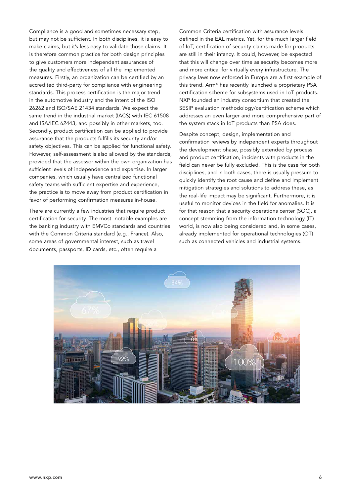Compliance is a good and sometimes necessary step, but may not be sufficient. In both disciplines, it is easy to make claims, but it's less easy to validate those claims. It is therefore common practice for both design principles to give customers more independent assurances of the quality and effectiveness of all the implemented measures. Firstly, an organization can be certified by an accredited third-party for compliance with engineering standards. This process certification is the major trend in the automotive industry and the intent of the ISO 26262 and ISO/SAE 21434 standards. We expect the same trend in the industrial market (IACS) with IEC 61508 and ISA/IEC 62443, and possibly in other markets, too. Secondly, product certification can be applied to provide assurance that the products fulfills its security and/or safety objectives. This can be applied for functional safety. However, self-assessment is also allowed by the standards, provided that the assessor within the own organization has sufficient levels of independence and expertise. In larger companies, which usually have centralized functional safety teams with sufficient expertise and experience, the practice is to move away from product certification in favor of performing confirmation measures in-house.

There are currently a few industries that require product certification for security. The most notable examples are the banking industry with EMVCo standards and countries with the Common Criteria standard (e.g., France). Also, some areas of governmental interest, such as travel documents, passports, ID cards, etc., often require a

Common Criteria certification with assurance levels defined in the EAL metrics. Yet, for the much larger field of IoT, certification of security claims made for products are still in their infancy. It could, however, be expected that this will change over time as security becomes more and more critical for virtually every infrastructure. The privacy laws now enforced in Europe are a first example of this trend. Arm® has recently launched a proprietary PSA certification scheme for subsystems used in IoT products. NXP founded an industry consortium that created the SESIP evaluation methodology/certification scheme which addresses an even larger and more comprehensive part of the system stack in IoT products than PSA does.

Despite concept, design, implementation and confirmation reviews by independent experts throughout the development phase, possibly extended by process and product certification, incidents with products in the field can never be fully excluded. This is the case for both disciplines, and in both cases, there is usually pressure to quickly identify the root cause and define and implement mitigation strategies and solutions to address these, as the real-life impact may be significant. Furthermore, it is useful to monitor devices in the field for anomalies. It is for that reason that a security operations center (SOC), a concept stemming from the information technology (IT) world, is now also being considered and, in some cases, already implemented for operational technologies (OT) such as connected vehicles and industrial systems.

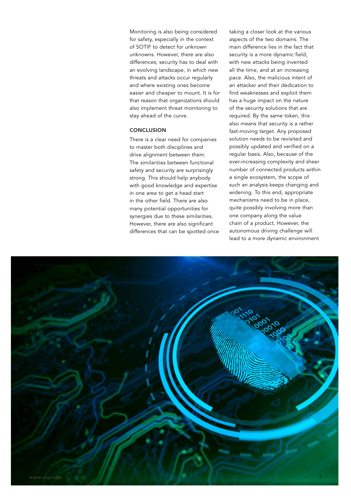Monitoring is also being considered for safety, especially in the context of SOTIF to detect for unknown unknowns. However, there are also differences; security has to deal with an evolving landscape, in which new threats and attacks occur regularly and where existing ones become easier and cheaper to mount. It is for that reason that organizations should also implement threat monitoring to stay ahead of the curve.

#### **CONCLUSION**

There is a clear need for companies to master both disciplines and drive alignment between them. The similarities between functional safety and security are surprisingly strong. This should help anybody with good knowledge and expertise in one area to get a head start in the other field. There are also many potential opportunities for synergies due to these similarities. However, there are also significant differences that can be spotted once taking a closer look at the various aspects of the two domains. The main difference lies in the fact that security is a more dynamic field, with new attacks being invented all the time, and at an increasing pace. Also, the malicious intent of an attacker and their dedication to find weaknesses and exploit them has a huge impact on the nature of the security solutions that are required. By the same token, this also means that security is a rather fast-moving target. Any proposed solution needs to be revisited and possibly updated and verified on a regular basis. Also, because of the ever-increasing complexity and sheer number of connected products within a single ecosystem, the scope of such an analysis keeps changing and widening. To this end, appropriate mechanisms need to be in place, quite possibly involving more than one company along the value chain of a product. However, the autonomous driving challenge will lead to a more dynamic environment